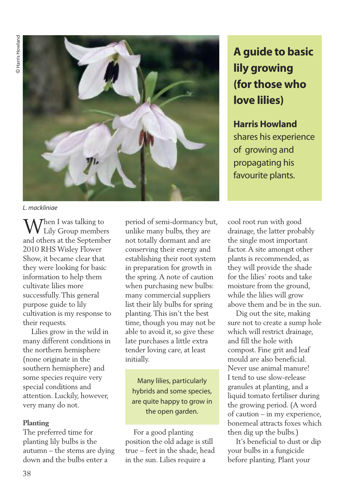

*L. mackliniae*

When <sup>I</sup> was talking to Lily Group members and others at the September 2010 RHS Wisley Flower Show, it became clear that they were looking for basic information to help them cultivate lilies more successfully.This general purpose guide to lily cultivation is my response to their requests.

Lilies grow in the wild in many different conditions in the northern hemisphere (none originate in the southern hemisphere) and some species require very special conditions and attention. Luckily, however, very many do not.

### **Planting**

The preferred time for planting lily bulbs is the autumn – the stems are dying down and the bulbs enter a

period of semi-dormancy but, unlike many bulbs, they are not totally dormant and are conserving their energy and establishing their root system in preparation for growth in the spring.A note of caution when purchasing new bulbs: many commercial suppliers list their lily bulbs for spring planting.This isn't the best time, though you may not be able to avoid it, so give these late purchases a little extra tender loving care, at least initially.

Many lilies, particularly hybrids and some species, are quite happy to grow in the open garden.

For a good planting position the old adage is still true – feet in the shade, head in the sun. Lilies require a

# **A guide to basic lily growing (forthose who love lilies)**

**HarrisHowland** shares his experience of growing and propagating his favourite plants.

cool root run with good drainage, the latter probably the single most important factor.A site amongst other plants is recommended, as they will provide the shade for the lilies' roots and take moisture from the ground, while the lilies will grow above them and be in the sun.

Dig out the site, making sure not to create a sump hole which will restrict drainage, and fill the hole with compost. Fine grit and leaf mould are also beneficial. Never use animal manure! I tend to use slow-release granules at planting, and a liquid tomato fertiliser during the growing period. (A word of caution – in my experience, bonemeal attracts foxes which then dig up the bulbs.)

It's beneficial to dust or dip your bulbs in a fungicide before planting. Plant your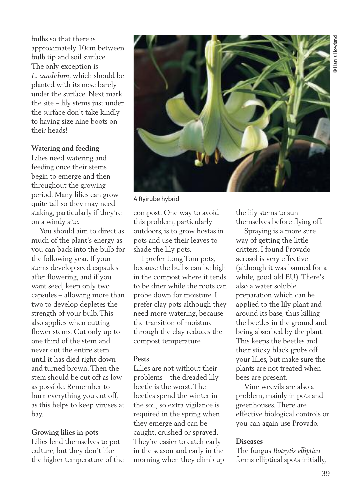bulbs so that there is approximately 10cm between bulb tip and soil surface. The only exception is *L. candidum*, which should be planted with its nose barely under the surface. Next mark the site – lily stems just under the surface don't take kindly to having size nine boots on their heads!

## **Watering and feeding**

Lilies need watering and feeding once their stems begin to emerge and then throughout the growing period. Many lilies can grow quite tall so they may need staking, particularly if they're on a windy site.

You should aim to direct as much of the plant's energy as you can back into the bulb for the following year. If your stems develop seed capsules after flowering, and if you want seed, keep only two capsules – allowing more than two to develop depletes the strength of your bulb.This also applies when cutting flower stems. Cut only up to one third of the stem and never cut the entire stem until it has died right down and turned brown.Then the stem should be cut off as low as possible. Remember to burn everything you cut off, as this helps to keep viruses at bay.

### **Growing lilies in pots**

Lilies lend themselves to pot culture, but they don't like the higher temperature of the



A Ryirube hybrid

compost. One way to avoid this problem, particularly outdoors, is to grow hostas in pots and use their leaves to shade the lily pots.

I prefer Long Tom pots, because the bulbs can be high in the compost where it tends to be drier while the roots can probe down for moisture. I prefer clay pots although they need more watering, because the transition of moisture through the clay reduces the compost temperature.

### **Pests**

Lilies are not without their problems – the dreaded lily beetle is the worst.The beetles spend the winter in the soil, so extra vigilance is required in the spring when they emerge and can be caught, crushed or sprayed. They're easier to catch early in the season and early in the morning when they climb up the lily stems to sun themselves before flying off.

Spraying is a more sure way of getting the little critters. I found Provado aerosol is very effective (although it was banned for a while, good old EU).There's also a water soluble preparation which can be applied to the lily plant and around its base, thus killing the beetles in the ground and being absorbed by the plant. This keeps the beetles and their sticky black grubs off your lilies, but make sure the plants are not treated when bees are present.

Vine weevils are also a problem, mainly in pots and greenhouses.There are effective biological controls or you can again use Provado.

### **Diseases**

The fungus *Botrytis elliptica* forms elliptical spots initially,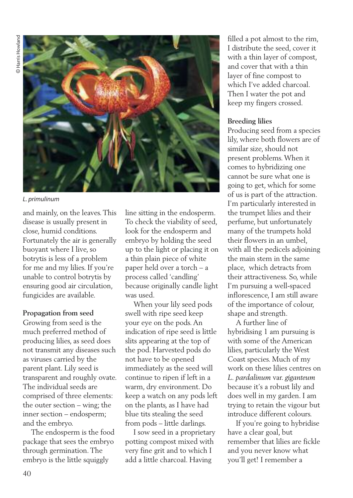

*L. primulinum*

and mainly, on the leaves.This disease is usually present in close, humid conditions. Fortunately the air is generally buoyant where I live, so botrytis is less of a problem for me and my lilies. If you're unable to control botrytis by ensuring good air circulation, fungicides are available.

### **Propagation from seed**

Growing from seed is the much preferred method of producing lilies, as seed does not transmit any diseases such as viruses carried by the parent plant. Lily seed is transparent and roughly ovate. The individual seeds are comprised of three elements: the outer section – wing; the inner section – endosperm; and the embryo.

The endosperm is the food package that sees the embryo through germination.The embryo is the little squiggly

line sitting in the endosperm. To check the viability of seed, look for the endosperm and embryo by holding the seed up to the light or placing it on a thin plain piece of white paper held over a torch – a process called 'candling' because originally candle light was used.

When your lily seed pods swell with ripe seed keep your eye on the pods.An indication of ripe seed is little slits appearing at the top of the pod. Harvested pods do not have to be opened immediately as the seed will continue to ripen if left in a warm, dry environment. Do keep a watch on any pods left on the plants, as I have had blue tits stealing the seed from pods – little darlings.

I sow seed in a proprietary potting compost mixed with very fine grit and to which I add a little charcoal. Having

filled a pot almost to the rim, I distribute the seed, cover it with a thin layer of compost, and cover that with a thin layer of fine compost to which I've added charcoal. Then I water the pot and keep my fingers crossed.

# **Breeding lilies**

Producing seed from a species lily, where both flowers are of similar size, should not present problems.When it comes to hybridizing one cannot be sure what one is going to get, which for some of us is part of the attraction. I'm particularly interested in the trumpet lilies and their perfume, but unfortunately many of the trumpets hold their flowers in an umbel, with all the pedicels adjoining the main stem in the same place, which detracts from their attractiveness. So, while I'm pursuing a well-spaced inflorescence, I am still aware of the importance of colour, shape and strength.

A further line of hybridising 1 am pursuing is with some of the American lilies, particularly the West Coast species. Much of my work on these lilies centres on *L. pardalinum* var. *giganteum* because it's a robust lily and does well in my garden. I am trying to retain the vigour but introduce different colours.

If you're going to hybridise have a clear goal, but remember that lilies are fickle and you never know what you'll get! I remember a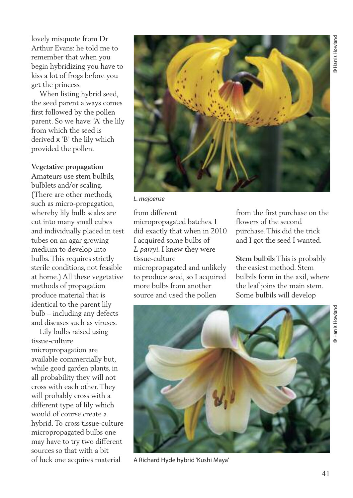lovely misquote from Dr Arthur Evans: he told me to remember that when you begin hybridizing you have to kiss a lot of frogs before you get the princess.

When listing hybrid seed, the seed parent always comes first followed by the pollen parent. So we have: 'A' the lily from which the seed is derived x 'B' the lily which provided the pollen.

#### **Vegetative propagation**

Amateurs use stem bulbils, bulblets and/or scaling. (There are other methods, such as micro-propagation, whereby lily bulb scales are cut into many small cubes and individually placed in test tubes on an agar growing medium to develop into bulbs.This requires strictly sterile conditions, not feasible at home.) All these vegetative methods of propagation produce material that is identical to the parent lily bulb – including any defects and diseases such as viruses.

Lily bulbs raised using tissue-culture micropropagation are available commercially but, while good garden plants, in all probability they will not cross with each other.They will probably cross with a different type of lily which would of course create a hybrid.To cross tissue-culture micropropagated bulbs one may have to try two different sources so that with a bit of luck one acquires material



*L. majoense*

from different micropropagated batches. I did exactly that when in 2010 I acquired some bulbs of *L parryi*. I knew they were tissue-culture micropropagated and unlikely to produce seed, so I acquired more bulbs from another source and used the pollen

from the first purchase on the flowers of the second purchase.This did the trick and I got the seed I wanted.

**Stem bulbils** This is probably the easiest method. Stem bulbils form in the axil, where the leaf joins the main stem. Some bulbils will develop



A Richard Hyde hybrid'Kushi Maya'